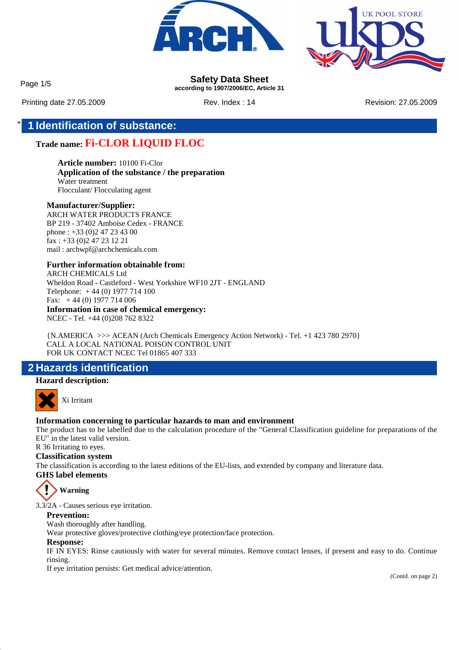



Page 1/5 **Safety Data Sheet according to 1907/2006/EC, Article 31**

Printing date 27.05.2009 Rev. Index : 14 Rev. Index : 14 Revision: 27.05.2009

## \* **1 Identification of substance:**

### **Trade name: Fi-CLOR LIQUID FLOC**

**Article number:** 10100 Fi-Clor **Application of the substance / the preparation** Water treatment Flocculant/ Flocculating agent

#### **Manufacturer/Supplier:**

ARCH WATER PRODUCTS FRANCE BP 219 - 37402 Amboise Cedex - FRANCE phone : +33 (0)2 47 23 43 00 fax : +33 (0)2 47 23 12 21 mail : archwpf@archchemicals.com

**Further information obtainable from:** ARCH CHEMICALS Ltd Wheldon Road - Castleford - West Yorkshire WF10 2JT - ENGLAND Telephone: + 44 (0) 1977 714 100 Fax: + 44 (0) 1977 714 006 **Information in case of chemical emergency:** NCEC - Tel. +44 (0)208 762 8322

{N.AMERICA >>> ACEAN (Arch Chemicals Emergency Action Network) - Tel. +1 423 780 2970} CALL A LOCAL NATIONAL POISON CONTROL UNIT FOR UK CONTACT NCEC Tel 01865 407 333

### **2 Hazards identification**

#### **Hazard description:**



Xi Irritant

#### **Information concerning to particular hazards to man and environment**

The product has to be labelled due to the calculation procedure of the "General Classification guideline for preparations of the EU" in the latest valid version.

R 36 Irritating to eyes.

### **Classification system**

The classification is according to the latest editions of the EU-lists, and extended by company and literature data. **GHS label elements**



3.3/2A - Causes serious eye irritation.

#### **Prevention:**

Wash thoroughly after handling.

Wear protective gloves/protective clothing/eye protection/face protection.

#### **Response:**

IF IN EYES: Rinse cautiously with water for several minutes. Remove contact lenses, if present and easy to do. Continue rinsing.

If eye irritation persists: Get medical advice/attention.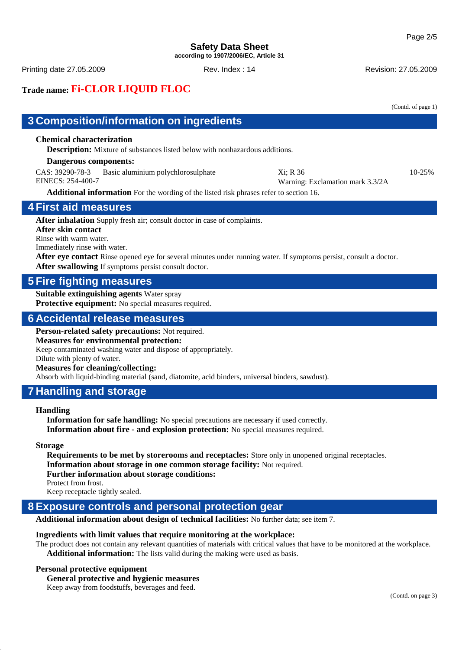#### **Safety Data Sheet according to 1907/2006/EC, Article 31**

Printing date 27.05.2009 **Rev. Index : 14** Rev. Index : 14 Revision: 27.05.2009

# **Trade name: Fi-CLOR LIQUID FLOC**

|                                                                                                                                                                                                                                                                                                                                                    |                                  | (Contd. of page 1) |
|----------------------------------------------------------------------------------------------------------------------------------------------------------------------------------------------------------------------------------------------------------------------------------------------------------------------------------------------------|----------------------------------|--------------------|
| 3 Composition/information on ingredients                                                                                                                                                                                                                                                                                                           |                                  |                    |
| <b>Chemical characterization</b><br><b>Description:</b> Mixture of substances listed below with nonhazardous additions.<br>Dangerous components:<br>CAS: 39290-78-3<br>Basic aluminium polychlorosulphate                                                                                                                                          | Xi; R 36                         | 10-25%             |
| EINECS: 254-400-7                                                                                                                                                                                                                                                                                                                                  | Warning: Exclamation mark 3.3/2A |                    |
| Additional information For the wording of the listed risk phrases refer to section 16.                                                                                                                                                                                                                                                             |                                  |                    |
| <b>4 First aid measures</b>                                                                                                                                                                                                                                                                                                                        |                                  |                    |
| After inhalation Supply fresh air; consult doctor in case of complaints.<br>After skin contact<br>Rinse with warm water.<br>Immediately rinse with water.<br>After eye contact Rinse opened eye for several minutes under running water. If symptoms persist, consult a doctor.<br>After swallowing If symptoms persist consult doctor.            |                                  |                    |
| <b>5 Fire fighting measures</b>                                                                                                                                                                                                                                                                                                                    |                                  |                    |
| <b>Suitable extinguishing agents Water spray</b><br>Protective equipment: No special measures required.                                                                                                                                                                                                                                            |                                  |                    |
| <b>6 Accidental release measures</b>                                                                                                                                                                                                                                                                                                               |                                  |                    |
| Person-related safety precautions: Not required.<br><b>Measures for environmental protection:</b><br>Keep contaminated washing water and dispose of appropriately.<br>Dilute with plenty of water.<br><b>Measures for cleaning/collecting:</b><br>Absorb with liquid-binding material (sand, diatomite, acid binders, universal binders, sawdust). |                                  |                    |
| <b>7 Handling and storage</b>                                                                                                                                                                                                                                                                                                                      |                                  |                    |
| <b>Handling</b><br><b>Information for safe handling:</b> No special precautions are necessary if used correctly.<br>Information about fire - and explosion protection: No special measures required.                                                                                                                                               |                                  |                    |

#### **Storage**

**Requirements to be met by storerooms and receptacles:** Store only in unopened original receptacles. **Information about storage in one common storage facility:** Not required. **Further information about storage conditions:** Protect from frost. Keep receptacle tightly sealed.

### **8 Exposure controls and personal protection gear**

**Additional information about design of technical facilities:** No further data; see item 7.

#### **Ingredients with limit values that require monitoring at the workplace:**

The product does not contain any relevant quantities of materials with critical values that have to be monitored at the workplace. **Additional information:** The lists valid during the making were used as basis.

#### **Personal protective equipment**

**General protective and hygienic measures**

Keep away from foodstuffs, beverages and feed.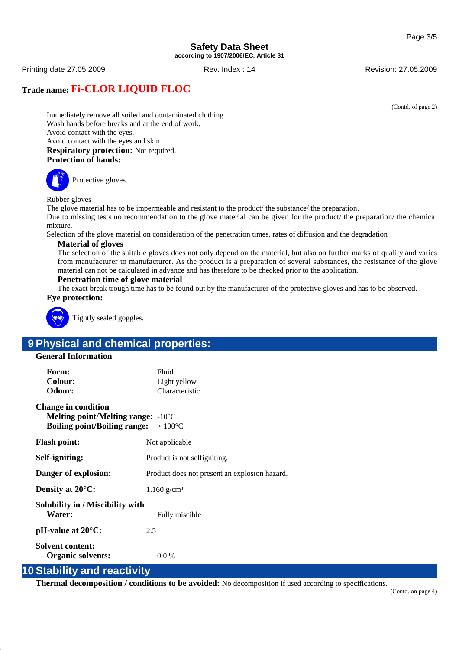#### **Safety Data Sheet according to 1907/2006/EC, Article 31**

Printing date 27.05.2009 **Rev. Index : 14** Rev. Index : 14 Revision: 27.05.2009

### **Trade name: Fi-CLOR LIQUID FLOC**

(Contd. of page 2)

Immediately remove all soiled and contaminated clothing Wash hands before breaks and at the end of work. Avoid contact with the eyes. Avoid contact with the eyes and skin. **Respiratory protection:** Not required. **Protection of hands:**

Protective gloves.

Rubber gloves

The glove material has to be impermeable and resistant to the product/ the substance/ the preparation.

Due to missing tests no recommendation to the glove material can be given for the product/ the preparation/ the chemical mixture.

Selection of the glove material on consideration of the penetration times, rates of diffusion and the degradation

#### **Material of gloves**

The selection of the suitable gloves does not only depend on the material, but also on further marks of quality and varies from manufacturer to manufacturer. As the product is a preparation of several substances, the resistance of the glove material can not be calculated in advance and has therefore to be checked prior to the application.

#### **Penetration time of glove material**

The exact break trough time has to be found out by the manufacturer of the protective gloves and has to be observed. **Eye protection:**



Tightly sealed goggles.

# **9 Physical and chemical properties:**

#### **General Information**

| Form:<br>Colour:<br>Odour:                                                                                                         | Fluid<br>Light yellow<br>Characteristic       |
|------------------------------------------------------------------------------------------------------------------------------------|-----------------------------------------------|
| <b>Change in condition</b><br>Melting point/Melting range: $-10^{\circ}$ C<br><b>Boiling point/Boiling range:</b> $>100^{\circ}$ C |                                               |
| <b>Flash point:</b>                                                                                                                | Not applicable                                |
| Self-igniting:                                                                                                                     | Product is not selfigniting.                  |
| Danger of explosion:                                                                                                               | Product does not present an explosion hazard. |
| Density at $20^{\circ}$ C:                                                                                                         | $1.160$ g/cm <sup>3</sup>                     |
| Solubility in / Miscibility with<br>Water:                                                                                         | Fully miscible                                |
| $pH$ -value at $20^{\circ}C$ :                                                                                                     | 2.5                                           |
| Solvent content:<br><b>Organic solvents:</b>                                                                                       | 0.0 %                                         |

### **10 Stability and reactivity**

**Thermal decomposition / conditions to be avoided:** No decomposition if used according to specifications.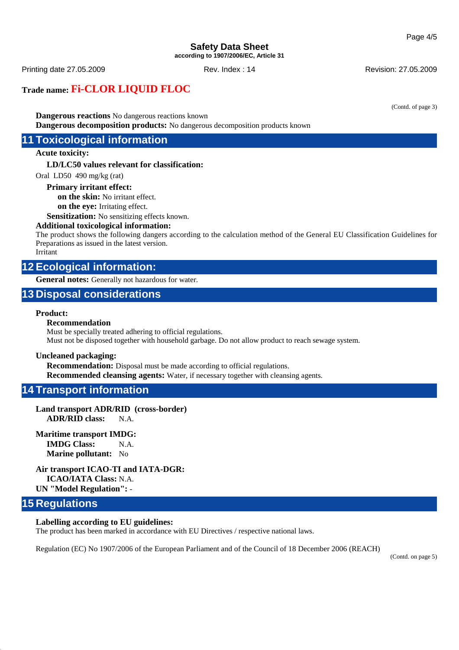#### **Safety Data Sheet according to 1907/2006/EC, Article 31**

Printing date 27.05.2009 Rev. Index : 14 Revision: 27.05.2009

### **Trade name: Fi-CLOR LIQUID FLOC**

(Contd. of page 3)

**Dangerous reactions** No dangerous reactions known **Dangerous decomposition products:** No dangerous decomposition products known

### **11 Toxicological information**

#### **Acute toxicity:**

**LD/LC50 values relevant for classification:**

Oral LD50 490 mg/kg (rat)

#### **Primary irritant effect:**

**on the skin:** No irritant effect.

**on the eye:** Irritating effect.

**Sensitization:** No sensitizing effects known.

#### **Additional toxicological information:**

The product shows the following dangers according to the calculation method of the General EU Classification Guidelines for Preparations as issued in the latest version.

Irritant

### **12 Ecological information:**

**General notes:** Generally not hazardous for water.

### **13 Disposal considerations**

#### **Product:**

#### **Recommendation**

Must be specially treated adhering to official regulations. Must not be disposed together with household garbage. Do not allow product to reach sewage system.

#### **Uncleaned packaging:**

**Recommendation:** Disposal must be made according to official regulations. **Recommended cleansing agents:** Water, if necessary together with cleansing agents.

### **14 Transport information**

#### **Land transport ADR/RID (cross-border) ADR/RID class:** N.A.

#### **Maritime transport IMDG:**

**IMDG Class:** N.A. **Marine pollutant:** No

#### **Air transport ICAO-TI and IATA-DGR:**

**ICAO/IATA Class:** N.A. **UN "Model Regulation":** -

### **15 Regulations**

#### **Labelling according to EU guidelines:**

The product has been marked in accordance with EU Directives / respective national laws.

Regulation (EC) No 1907/2006 of the European Parliament and of the Council of 18 December 2006 (REACH)

(Contd. on page 5)